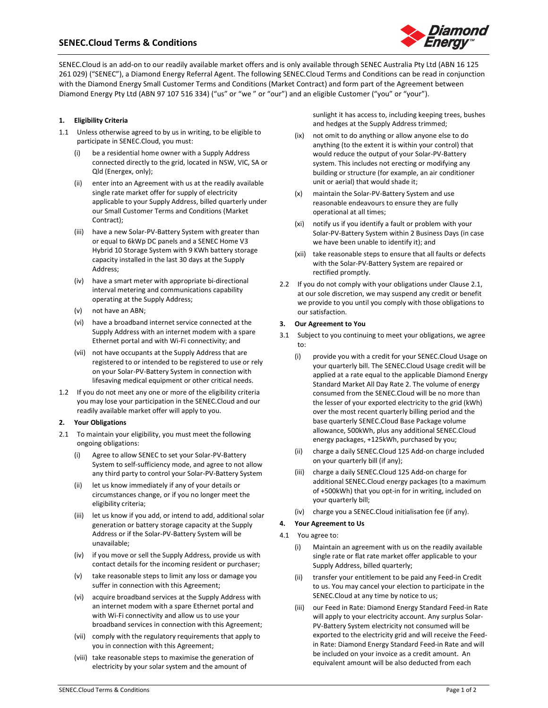# **SENEC.Cloud Terms & Conditions**



SENEC.Cloud is an add-on to our readily available market offers and is only available through SENEC Australia Pty Ltd (ABN 16 125 261 029) ("SENEC"), a Diamond Energy Referral Agent. The following SENEC.Cloud Terms and Conditions can be read in conjunction with the Diamond Energy Small Customer Terms and Conditions (Market Contract) and form part of the Agreement between Diamond Energy Pty Ltd (ABN 97 107 516 334) ("us" or "we" or "our") and an eligible Customer ("you" or "your").

## **1. Eligibility Criteria**

- 1.1 Unless otherwise agreed to by us in writing, to be eligible to participate in SENEC.Cloud, you must:
	- be a residential home owner with a Supply Address connected directly to the grid, located in NSW, VIC, SA or Qld (Energex, only);
	- (ii) enter into an Agreement with us at the readily available single rate market offer for supply of electricity applicable to your Supply Address, billed quarterly under our Small Customer Terms and Conditions (Market Contract);
	- (iii) have a new Solar-PV-Battery System with greater than or equal to 6kWp DC panels and a SENEC Home V3 Hybrid 10 Storage System with 9 KWh battery storage capacity installed in the last 30 days at the Supply Address;
	- (iv) have a smart meter with appropriate bi-directional interval metering and communications capability operating at the Supply Address;
	- (v) not have an ABN;
	- (vi) have a broadband internet service connected at the Supply Address with an internet modem with a spare Ethernet portal and with Wi-Fi connectivity; and
	- (vii) not have occupants at the Supply Address that are registered to or intended to be registered to use or rely on your Solar-PV-Battery System in connection with lifesaving medical equipment or other critical needs.
- 1.2 If you do not meet any one or more of the eligibility criteria you may lose your participation in the SENEC.Cloud and our readily available market offer will apply to you.

#### **2. Your Obligations**

- 2.1 To maintain your eligibility, you must meet the following ongoing obligations:
	- (i) Agree to allow SENEC to set your Solar-PV-Battery System to self-sufficiency mode, and agree to not allow any third party to control your Solar-PV-Battery System
	- (ii) let us know immediately if any of your details or circumstances change, or if you no longer meet the eligibility criteria;
	- (iii) let us know if you add, or intend to add, additional solar generation or battery storage capacity at the Supply Address or if the Solar-PV-Battery System will be unavailable;
	- (iv) if you move or sell the Supply Address, provide us with contact details for the incoming resident or purchaser;
	- (v) take reasonable steps to limit any loss or damage you suffer in connection with this Agreement;
	- (vi) acquire broadband services at the Supply Address with an internet modem with a spare Ethernet portal and with Wi-Fi connectivity and allow us to use your broadband services in connection with this Agreement;
	- (vii) comply with the regulatory requirements that apply to you in connection with this Agreement;
	- (viii) take reasonable steps to maximise the generation of electricity by your solar system and the amount of

sunlight it has access to, including keeping trees, bushes and hedges at the Supply Address trimmed;

- (ix) not omit to do anything or allow anyone else to do anything (to the extent it is within your control) that would reduce the output of your Solar-PV-Battery system. This includes not erecting or modifying any building or structure (for example, an air conditioner unit or aerial) that would shade it;
- (x) maintain the Solar-PV-Battery System and use reasonable endeavours to ensure they are fully operational at all times;
- (xi) notify us if you identify a fault or problem with your Solar-PV-Battery System within 2 Business Days (in case we have been unable to identify it); and
- (xii) take reasonable steps to ensure that all faults or defects with the Solar-PV-Battery System are repaired or rectified promptly.
- 2.2 If you do not comply with your obligations under Clause 2.1, at our sole discretion, we may suspend any credit or benefit we provide to you until you comply with those obligations to our satisfaction.

#### **3. Our Agreement to You**

- 3.1 Subject to you continuing to meet your obligations, we agree to:
	- (i) provide you with a credit for your SENEC.Cloud Usage on your quarterly bill. The SENEC.Cloud Usage credit will be applied at a rate equal to the applicable Diamond Energy Standard Market All Day Rate 2. The volume of energy consumed from the SENEC.Cloud will be no more than the lesser of your exported electricity to the grid (kWh) over the most recent quarterly billing period and the base quarterly SENEC.Cloud Base Package volume allowance, 500kWh, plus any additional SENEC.Cloud energy packages, +125kWh, purchased by you;
	- (ii) charge a daily SENEC.Cloud 125 Add-on charge included on your quarterly bill (if any);
	- (iii) charge a daily SENEC.Cloud 125 Add-on charge for additional SENEC.Cloud energy packages (to a maximum of +500kWh) that you opt-in for in writing, included on your quarterly bill;
	- (iv) charge you a SENEC.Cloud initialisation fee (if any).

#### **4. Your Agreement to Us**

- 4.1 You agree to:
	- (i) Maintain an agreement with us on the readily available single rate or flat rate market offer applicable to your Supply Address, billed quarterly;
	- (ii) transfer your entitlement to be paid any Feed-in Credit to us. You may cancel your election to participate in the SENEC.Cloud at any time by notice to us;
	- (iii) our Feed in Rate: Diamond Energy Standard Feed-in Rate will apply to your electricity account. Any surplus Solar-PV-Battery System electricity not consumed will be exported to the electricity grid and will receive the Feedin Rate: Diamond Energy Standard Feed-in Rate and will be included on your invoice as a credit amount. An equivalent amount will be also deducted from each